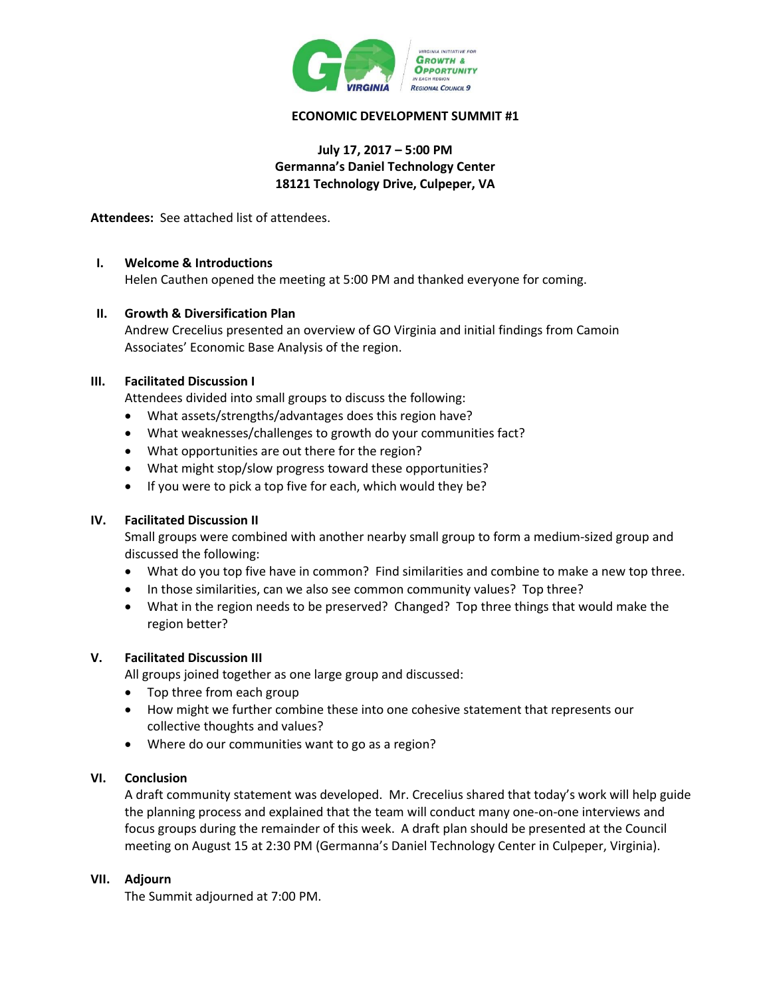

### **ECONOMIC DEVELOPMENT SUMMIT #1**

### **July 17, 2017 – 5:00 PM Germanna's Daniel Technology Center 18121 Technology Drive, Culpeper, VA**

**Attendees:** See attached list of attendees.

### **I. Welcome & Introductions**

Helen Cauthen opened the meeting at 5:00 PM and thanked everyone for coming.

### **II. Growth & Diversification Plan**

Andrew Crecelius presented an overview of GO Virginia and initial findings from Camoin Associates' Economic Base Analysis of the region.

## **III. Facilitated Discussion I**

Attendees divided into small groups to discuss the following:

- What assets/strengths/advantages does this region have?
- What weaknesses/challenges to growth do your communities fact?
- What opportunities are out there for the region?
- What might stop/slow progress toward these opportunities?
- If you were to pick a top five for each, which would they be?

### **IV. Facilitated Discussion II**

Small groups were combined with another nearby small group to form a medium-sized group and discussed the following:

- What do you top five have in common? Find similarities and combine to make a new top three.
- In those similarities, can we also see common community values? Top three?
- What in the region needs to be preserved? Changed? Top three things that would make the region better?

### **V. Facilitated Discussion III**

All groups joined together as one large group and discussed:

- Top three from each group
- How might we further combine these into one cohesive statement that represents our collective thoughts and values?
- Where do our communities want to go as a region?

### **VI. Conclusion**

A draft community statement was developed. Mr. Crecelius shared that today's work will help guide the planning process and explained that the team will conduct many one-on-one interviews and focus groups during the remainder of this week. A draft plan should be presented at the Council meeting on August 15 at 2:30 PM (Germanna's Daniel Technology Center in Culpeper, Virginia).

### **VII. Adjourn**

The Summit adjourned at 7:00 PM.